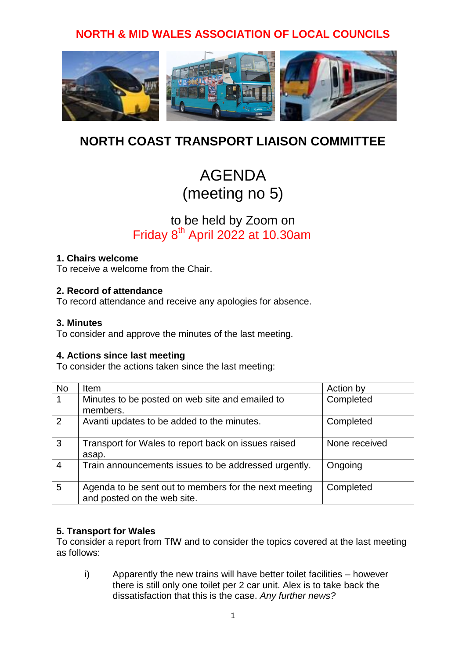## **NORTH & MID WALES ASSOCIATION OF LOCAL COUNCILS**



# **NORTH COAST TRANSPORT LIAISON COMMITTEE**

# AGENDA (meeting no 5)

## to be held by Zoom on Friday 8<sup>th</sup> April 2022 at 10.30am

#### **1. Chairs welcome**

To receive a welcome from the Chair.

#### **2. Record of attendance**

To record attendance and receive any apologies for absence.

#### **3. Minutes**

To consider and approve the minutes of the last meeting.

#### **4. Actions since last meeting**

To consider the actions taken since the last meeting:

| <b>No</b>      | Item                                                                                 | Action by     |
|----------------|--------------------------------------------------------------------------------------|---------------|
| 1              | Minutes to be posted on web site and emailed to<br>members.                          | Completed     |
| 2              | Avanti updates to be added to the minutes.                                           | Completed     |
| $\mathbf{3}$   | Transport for Wales to report back on issues raised<br>asap.                         | None received |
| $\overline{4}$ | Train announcements issues to be addressed urgently.                                 | Ongoing       |
| 5              | Agenda to be sent out to members for the next meeting<br>and posted on the web site. | Completed     |

#### **5. Transport for Wales**

To consider a report from TfW and to consider the topics covered at the last meeting as follows:

i) Apparently the new trains will have better toilet facilities – however there is still only one toilet per 2 car unit. Alex is to take back the dissatisfaction that this is the case. *Any further news?*